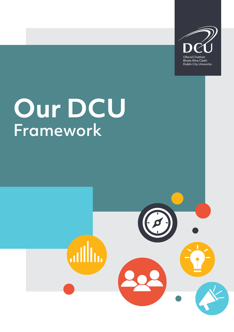

**Bhaile Átha Cliath** Dublin City University

# **Our DCU** Framework

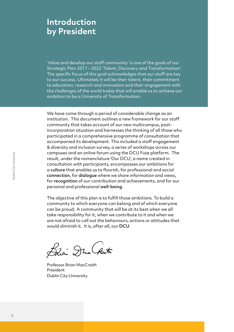# **Introduction by President**

'Value and develop our staff community' is one of the goals of our Strategic Plan 2017 – 2022 'Talent, Discovery and Transformation'. The specific focus of this goal acknowledges that our staff are key to our success. Ultimately it will be their talent, their commitment to education, research and innovation and their engagement with the challenges of the world today that will enable us to achieve our ambition to be a University of Transformation.

We have come through a period of considerable change as an institution. This document outlines a new framework for our staff community that takes account of our new multicampus, postincorporation situation and harnesses the thinking of all those who participated in a comprehensive programme of consultation that accompanied its development. This included a staff engagement & diversity and inclusion survey, a series of workshops across our campuses and an online forum using the DCU Fuse platform. The result, under the nomenclature 'Our DCU', a name created in consultation with participants, encompasses our ambitions for a culture that enables us to flourish, for professional and social connection, for dialogue where we share information and views, for recognition of our contribution and achievements, and for our personal and professional well-being.

The objective of this plan is to fulfill those ambitions. To build a community to which everyone can belong and of which everyone can be proud; A community that will be at its best when we all take responsibility for it, when we contribute to it and when we are not afraid to call out the behaviours, actions or attitudes that would diminish it. It is, after all, our DCU.

Bhai Dha Raith

Professor Brian MacCraith President Dublin City University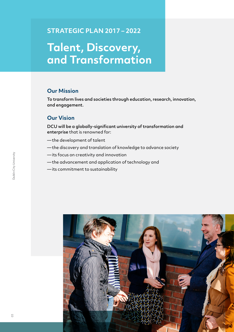#### **STRATEGIC PLAN 2017 – 2022**

# **Talent, Discovery, and Transformation**

#### **Our Mission**

To transform lives and societies through education, research, innovation, and engagement.

#### **Our Vision**

DCU will be a globally-significant university of transformation and enterprise that is renowned for:

- —the development of talent
- —the discovery and translation of knowledge to advance society
- —its focus on creativity and innovation
- —the advancement and application of technology and
- —its commitment to sustainability

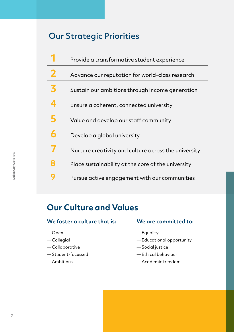# Our Strategic Priorities

|   | Provide a transformative student experience          |
|---|------------------------------------------------------|
| 2 | Advance our reputation for world-class research      |
| 3 | Sustain our ambitions through income generation      |
|   | Ensure a coherent, connected university              |
| 5 | Value and develop our staff community                |
| 6 | Develop a global university                          |
|   | Nurture creativity and culture across the university |
| 8 | Place sustainability at the core of the university   |
|   | Pursue active engagement with our communities        |
|   |                                                      |

# **Our Culture and Values**

#### **We foster a culture that is:**

- —Open
- —Collegial
- —Collaborative
- —Student-focussed
- —Ambitious

#### **We are committed to:**

- —Equality
- —Educational opportunity
- —Social justice
- —Ethical behaviour
- —Academic freedom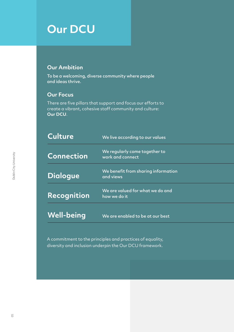# **Our DCU**

#### **Our Ambition**

To be a welcoming, diverse community where people and ideas thrive.

#### **Our Focus**

There are five pillars that support and focus our efforts to create a vibrant, cohesive staff community and culture: **Our DCU**.

| Culture           | We live according to our values                   |
|-------------------|---------------------------------------------------|
| <b>Connection</b> | We regularly come together to<br>work and connect |
| <b>Dialogue</b>   | We benefit from sharing information<br>and views  |
| Recognition       | We are valued for what we do and<br>how we do it  |
| <b>Well-being</b> | We are enabled to be at our best                  |

A commitment to the principles and practices of equality, diversity and inclusion underpin the Our DCU framework.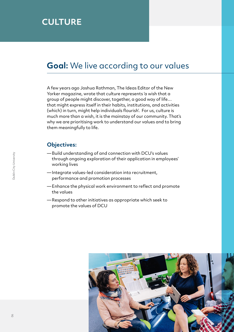# **CULTURE**

### **Goal:** We live according to our values

A few years ago Joshua Rothman, The Ideas Editor of the New Yorker magazine, wrote that culture represents 'a wish that a group of people might discover, together, a good way of life… that might express itself in their habits, institutions, and activities (which) in turn, might help individuals flourish'. For us, culture is much more than a wish, it is the mainstay of our community. That's why we are prioritising work to understand our values and to bring them meaningfully to life.

- —Build understanding of and connection with DCU's values through ongoing exploration of their application in employees' working lives
- —Integrate values-led consideration into recruitment, performance and promotion processes
- —Enhance the physical work environment to reflect and promote the values
- —Respond to other initiatives as appropriate which seek to promote the values of DCU

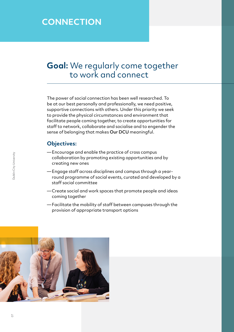# **CONNECTION**

# **Goal:** We regularly come together to work and connect

The power of social connection has been well researched. To be at our best personally and professionally, we need positive, supportive connections with others. Under this priority we seek to provide the physical circumstances and environment that facilitate people coming together, to create opportunities for staff to network, collaborate and socialise and to engender the sense of belonging that makes Our DCU meaningful.

- —Encourage and enable the practice of cross campus collaboration by promoting existing opportunities and by creating new ones
- —Engage staff across disciplines and campus through a yearround programme of social events, curated and developed by a staff social committee
- —Create social and work spaces that promote people and ideas coming together
- —Facilitate the mobility of staff between campuses through the provision of appropriate transport options

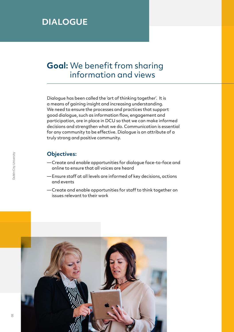# **DIALOGUE**

# **Goal:** We benefit from sharing information and views

Dialogue has been called the 'art of thinking together'. It is a means of gaining insight and increasing understanding. We need to ensure the processes and practices that support good dialogue, such as information flow, engagement and participation, are in place in DCU so that we can make informed decisions and strengthen what we do. Communication is essential for any community to be effective. Dialogue is an attribute of a truly strong and positive community.

- —Create and enable opportunities for dialogue face-to-face and online to ensure that all voices are heard
- —Ensure staff at all levels are informed of key decisions, actions and events
- —Create and enable opportunities for staff to think together on issues relevant to their work

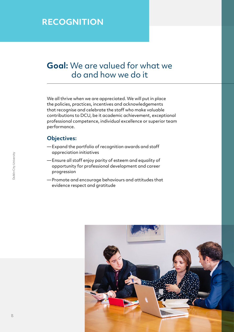# **RECOGNITION**

# **Goal:** We are valued for what we do and how we do it

We all thrive when we are appreciated. We will put in place the policies, practices, incentives and acknowledgements that recognise and celebrate the staff who make valuable contributions to DCU, be it academic achievement, exceptional professional competence, individual excellence or superior team performance.

- —Expand the portfolio of recognition awards and staff appreciation initiatives
- —Ensure all staff enjoy parity of esteem and equality of opportunity for professional development and career progression
- —Promote and encourage behaviours and attitudes that evidence respect and gratitude

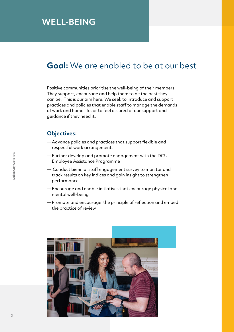# **WELL-BEING**

### **Goal:** We are enabled to be at our best

Positive communities prioritise the well-being of their members. They support, encourage and help them to be the best they can be. This is our aim here. We seek to introduce and support practices and policies that enable staff to manage the demands of work and home life, or to feel assured of our support and guidance if they need it.

- —Advance policies and practices that support flexible and respectful work arrangements
- —Further develop and promote engagement with the DCU Employee Assistance Programme
- Conduct biennial staff engagement survey to monitor and track results on key indices and gain insight to strengthen performance
- —Encourage and enable initiatives that encourage physical and mental well-being
- —Promote and encourage the principle of reflection and embed the practice of review